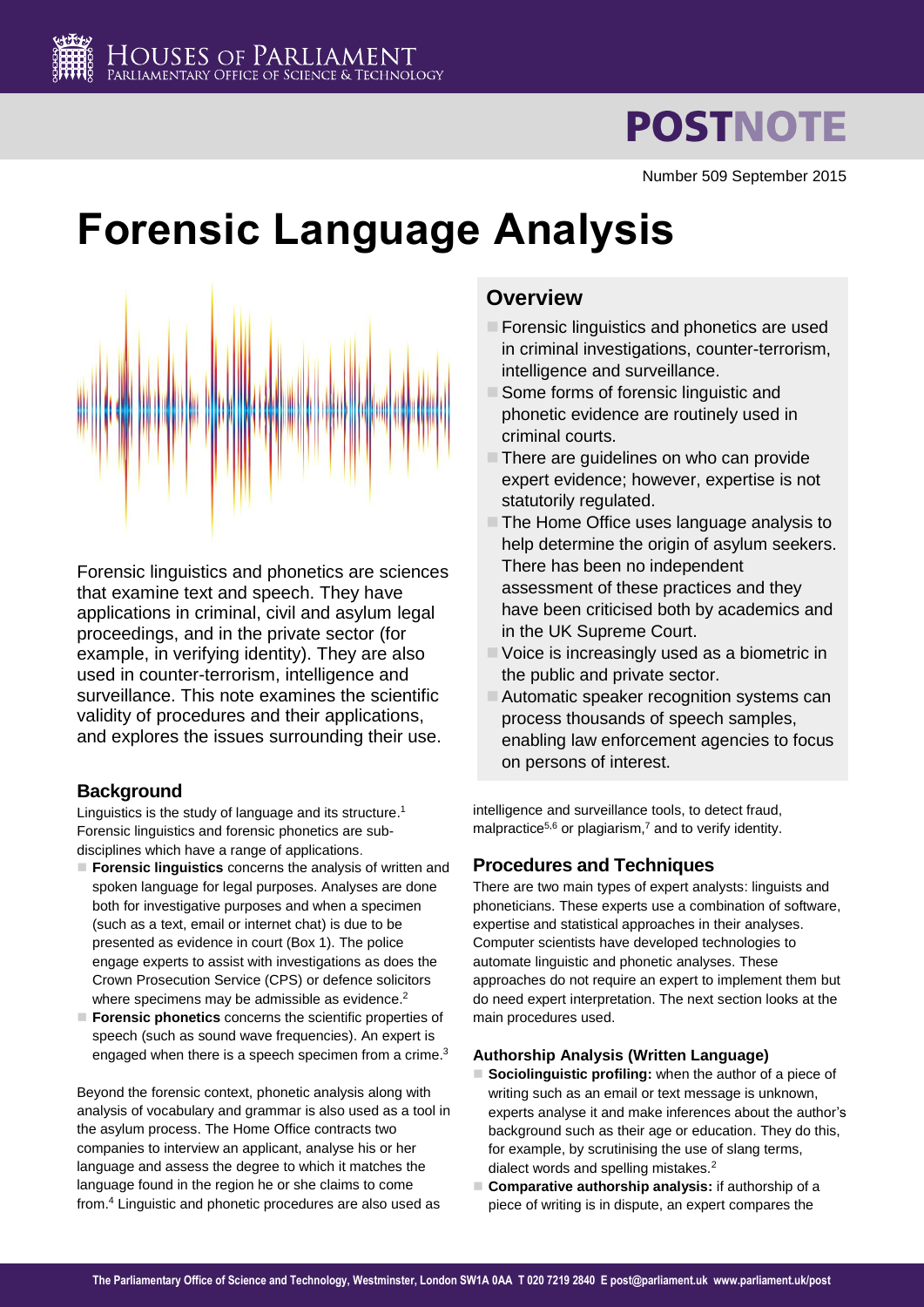# **POSTNOTE**

Number 509 September 2015

# **Forensic Language Analysis**



Forensic linguistics and phonetics are sciences that examine text and speech. They have applications in criminal, civil and asylum legal proceedings, and in the private sector (for example, in verifying identity). They are also used in counter-terrorism, intelligence and surveillance. This note examines the scientific validity of procedures and their applications, and explores the issues surrounding their use.

## **Background**

Linguistics is the study of language and its structure.<sup>1</sup> Forensic linguistics and forensic phonetics are subdisciplines which have a range of applications.

- **Forensic linguistics** concerns the analysis of written and spoken language for legal purposes. Analyses are done both for investigative purposes and when a specimen (such as a text, email or internet chat) is due to be presented as evidence in court (Box 1). The police engage experts to assist with investigations as does the Crown Prosecution Service (CPS) or defence solicitors where specimens may be admissible as evidence.<sup>2</sup>
- **Forensic phonetics** concerns the scientific properties of speech (such as sound wave frequencies). An expert is engaged when there is a speech specimen from a crime.<sup>3</sup>

Beyond the forensic context, phonetic analysis along with analysis of vocabulary and grammar is also used as a tool in the asylum process. The Home Office contracts two companies to interview an applicant, analyse his or her language and assess the degree to which it matches the language found in the region he or she claims to come from. <sup>4</sup> Linguistic and phonetic procedures are also used as

## **Overview**

- **Forensic linguistics and phonetics are used** in criminal investigations, counter-terrorism, intelligence and surveillance.
- Some forms of forensic linguistic and phonetic evidence are routinely used in criminal courts.
- $\blacksquare$  There are guidelines on who can provide expert evidence; however, expertise is not statutorily regulated.
- The Home Office uses language analysis to help determine the origin of asylum seekers. There has been no independent assessment of these practices and they have been criticised both by academics and in the UK Supreme Court.
- Voice is increasingly used as a biometric in the public and private sector.
- Automatic speaker recognition systems can process thousands of speech samples, enabling law enforcement agencies to focus on persons of interest.

intelligence and surveillance tools, to detect fraud, malpractice<sup>5,6</sup> or plagiarism,<sup>7</sup> and to verify identity.

## **Procedures and Techniques**

There are two main types of expert analysts: linguists and phoneticians. These experts use a combination of software, expertise and statistical approaches in their analyses. Computer scientists have developed technologies to automate linguistic and phonetic analyses. These approaches do not require an expert to implement them but do need expert interpretation. The next section looks at the main procedures used.

## <span id="page-0-1"></span><span id="page-0-0"></span>**Authorship Analysis (Written Language)**

- **Sociolinguistic profiling:** when the author of a piece of writing such as an email or text message is unknown, experts analyse it and make inferences about the author's background such as their age or education. They do this, for example, by scrutinising the use of slang terms, dialect words and spelling mistakes[.](#page-0-0)<sup>2</sup>
- **Comparative authorship analysis:** if authorship of a piece of writing is in dispute, an expert compares the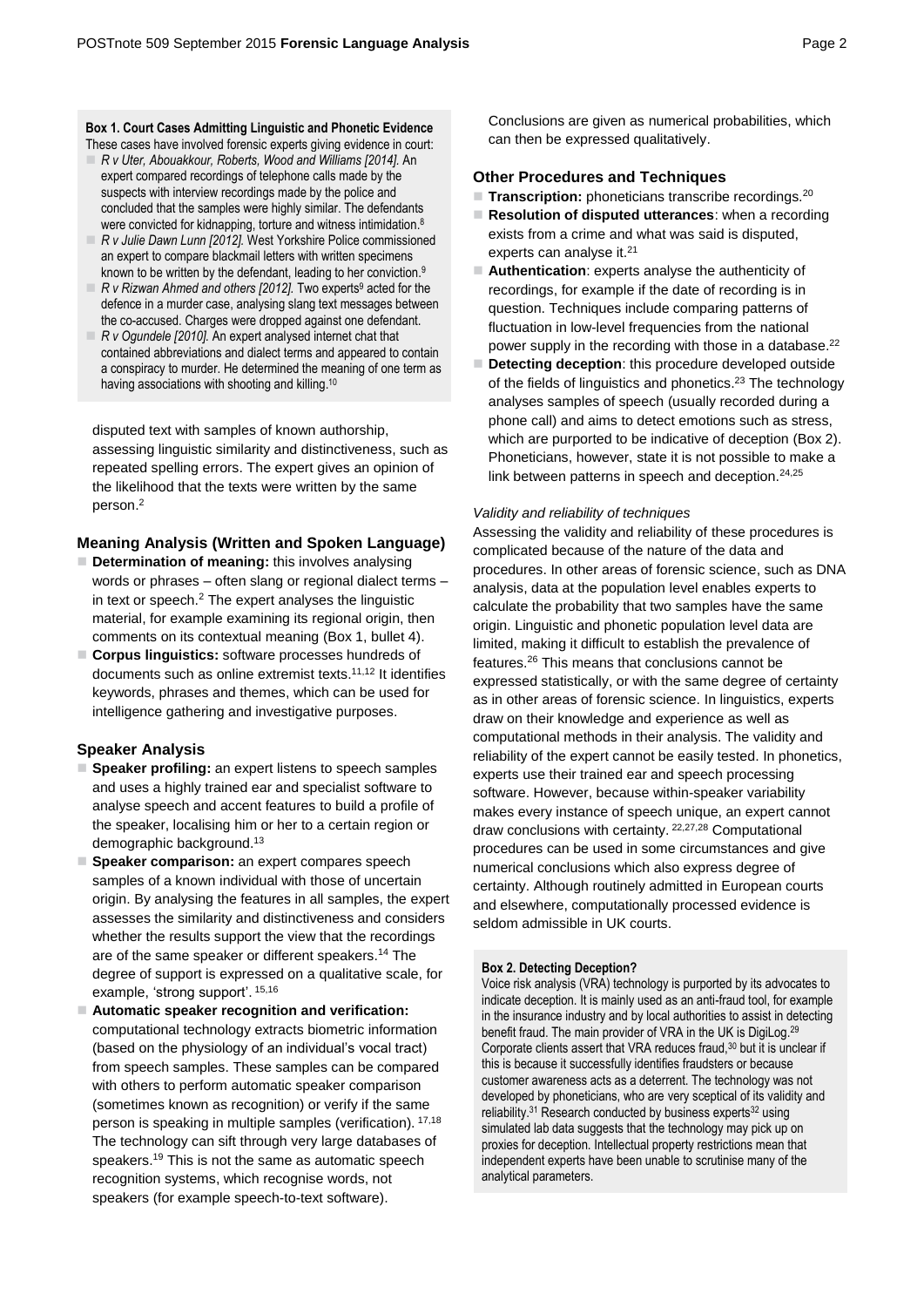## **Box 1. Court Cases Admitting Linguistic and Phonetic Evidence**

- These cases have involved forensic experts giving evidence in court: *R v Uter, Abouakkour, Roberts, Wood and Williams [2014].* An expert compared recordings of telephone calls made by the suspects with interview recordings made by the police and concluded that the samples were highly similar. The defendants were convicted for kidnapping, torture and witness intimidation.<sup>8</sup>
- *R v Julie Dawn Lunn [2012].* West Yorkshire Police commissioned an expert to compare blackmail letters with written specimens known to be written by the defendant, leading to her conviction.<sup>9</sup>
- *R v Rizwan Ahmed and others [2012].* Two experts<sup>[9](#page-1-0)</sup> acted for the defence in a murder case, analysing slang text messages between the co-accused. Charges were dropped against one defendant.
- *R v Ogundele [2010].* An expert analysed internet chat that contained abbreviations and dialect terms and appeared to contain a conspiracy to murder. He determined the meaning of one term as having associations with shooting and killing.<sup>10</sup>

disputed text with samples of known authorship, assessing linguistic similarity and distinctiveness, such as repeated spelling errors. The expert gives an opinion of the likelihood that the texts were written by the same perso[n.](#page-0-0) 2

#### **Meaning Analysis (Written and Spoken Language)**

- **Determination of meaning:** this involves analysing words or phrases – often slang or regional dialect terms – in text or speech.<sup>[2](#page-0-0)</sup> The expert analyses the linguistic material, for example examining its regional origin, then comments on its contextual meaning (Box 1, bullet 4).
- **Corpus linguistics:** software processes hundreds of documents such as online extremist texts. 11,12 It identifies keywords, phrases and themes, which can be used for intelligence gathering and investigative purposes.

#### **Speaker Analysis**

- **Speaker profiling:** an expert listens to speech samples and uses a highly trained ear and specialist software to analyse speech and accent features to build a profile of the speaker, localising him or her to a certain region or demographic background.<sup>13</sup>
- **Speaker comparison:** an expert compares speech samples of a known individual with those of uncertain origin. By analysing the features in all samples, the expert assesses the similarity and distinctiveness and considers whether the results support the view that the recordings are of the same speaker or different speakers.<sup>14</sup> The degree of support is expressed on a qualitative scale, for example, 'strong support'. <sup>15,16</sup>
- **Automatic speaker recognition and verification:**  computational technology extracts biometric information (based on the physiology of an individual's vocal tract) from speech samples. These samples can be compared with others to perform automatic speaker comparison (sometimes known as recognition) or verify if the same person is speaking in multiple samples (verification). 17,18 The technology can sift through very large databases of speakers. <sup>19</sup> This is not the same as automatic speech recognition systems, which recognise words, not speakers (for example speech-to-text software).

Conclusions are given as numerical probabilities, which can then be expressed qualitatively.

#### **Other Procedures and Techniques**

- **Transcription:** phoneticians transcribe recordings.<sup>20</sup>
- **Resolution of disputed utterances**: when a recording exists from a crime and what was said is disputed, experts can analyse it.<sup>21</sup>
- <span id="page-1-0"></span> **Authentication**: experts analyse the authenticity of recordings, for example if the date of recording is in question. Techniques include comparing patterns of fluctuation in low-level frequencies from the national power supply in the recording with those in a database.<sup>22</sup>
- <span id="page-1-1"></span>**Detecting deception:** this procedure developed outside of the fields of linguistics and phonetics.<sup>23</sup> The technology analyses samples of speech (usually recorded during a phone call) and aims to detect emotions such as stress, which are purported to be indicative of deception (Box 2). Phoneticians, however, state it is not possible to make a link between patterns in speech and deception.<sup>24,25</sup>

#### *Validity and reliability of techniques*

<span id="page-1-2"></span>Assessing the validity and reliability of these procedures is complicated because of the nature of the data and procedures. In other areas of forensic science, such as DNA analysis, data at the population level enables experts to calculate the probability that two samples have the same origin. Linguistic and phonetic population level data are limited, making it difficult to establish the prevalence of features.<sup>26</sup> This means that conclusions cannot be expressed statistically, or with the same degree of certainty as in other areas of forensic science. In linguistics, experts draw on their knowledge and experience as well as computational methods in their analysis. The validity and reliability of the expert cannot be easily tested. In phonetics, experts use their trained ear and speech processing software. However, because within-speaker variability makes every instance of speech unique, an expert cannot draw conclusions with certainty. [22,2](#page-1-1)7,28 Computational procedures can be used in some circumstances and give numerical conclusions which also express degree of certainty. Although routinely admitted in European courts and elsewhere, computationally processed evidence is seldom admissible in UK courts.

#### **Box 2. Detecting Deception?**

Voice risk analysis (VRA) technology is purported by its advocates to indicate deception. It is mainly used as an anti-fraud tool, for example in the insurance industry and by local authorities to assist in detecting benefit fraud. The main provider of VRA in the UK is DigiLog.<sup>29</sup> Corporate clients assert that VRA reduces fraud,<sup>30</sup> but it is unclear if this is because it successfully identifies fraudsters or because customer awareness acts as a deterrent. The technology was not developed by phoneticians, who are very sceptical of its validity and reliability. $31$  Research conducted by business experts $32$  using simulated lab data suggests that the technology may pick up on proxies for deception. Intellectual property restrictions mean that independent experts have been unable to scrutinise many of the analytical parameters.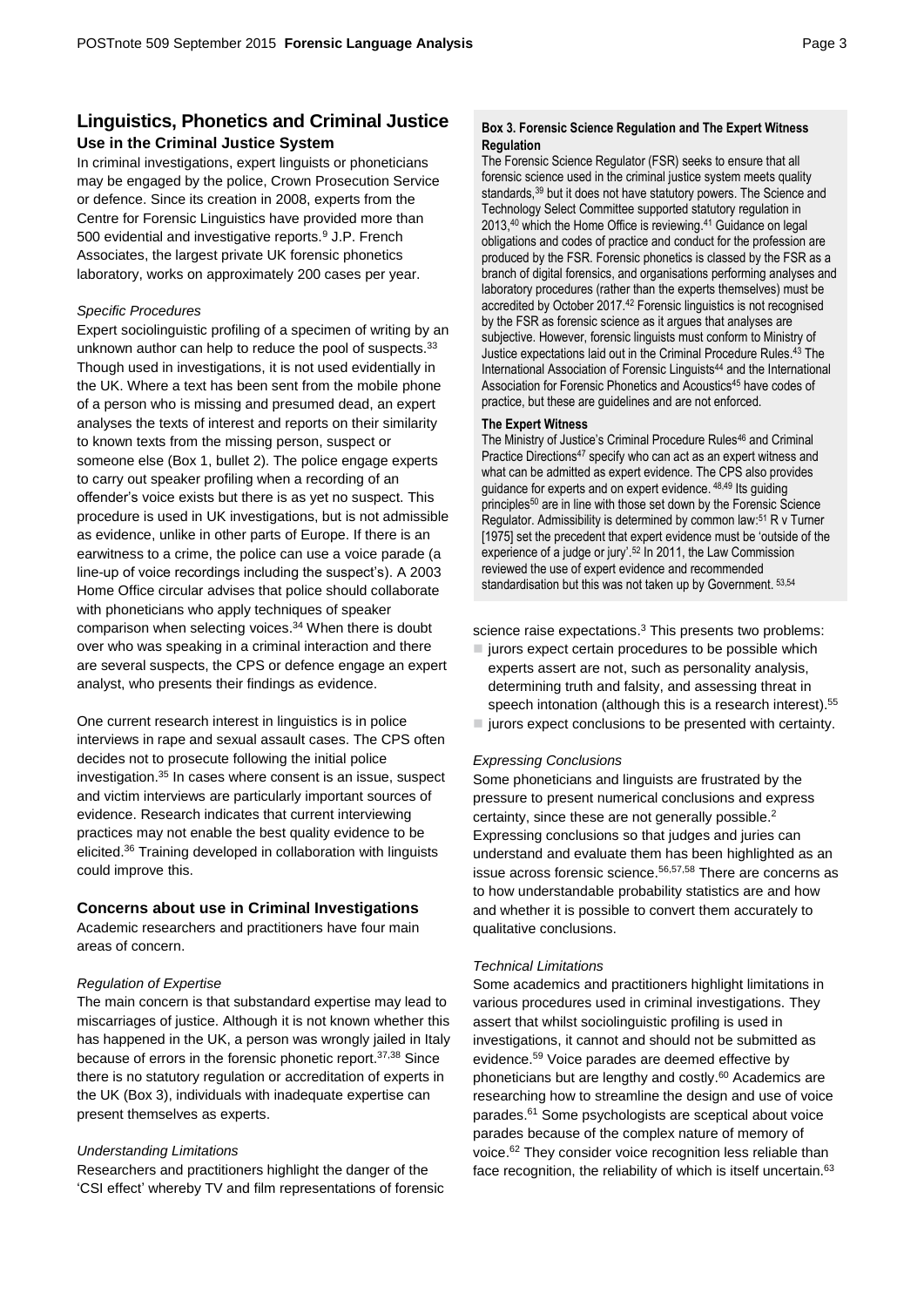## **Linguistics, Phonetics and Criminal Justice Use in the Criminal Justice System**

In criminal investigations, expert linguists or phoneticians may be engaged by the police, Crown Prosecution Service or defence. Since its creation in 2008, experts from the Centre for Forensic Linguistics have provided more than 500 evidential and investigative report[s.](#page-1-0)<sup>9</sup> J.P. French Associates, the largest private UK forensic phonetics laboratory, works on approximately 200 cases per year.

#### *Specific Procedures*

Expert sociolinguistic profiling of a specimen of writing by an unknown author can help to reduce the pool of suspects.<sup>33</sup> Though used in investigations, it is not used evidentially in the UK. Where a text has been sent from the mobile phone of a person who is missing and presumed dead, an expert analyses the texts of interest and reports on their similarity to known texts from the missing person, suspect or someone else (Box 1, bullet 2). The police engage experts to carry out speaker profiling when a recording of an offender's voice exists but there is as yet no suspect. This procedure is used in UK investigations, but is not admissible as evidence, unlike in other parts of Europe. If there is an earwitness to a crime, the police can use a voice parade (a line-up of voice recordings including the suspect's). A 2003 Home Office circular advises that police should collaborate with phoneticians who apply techniques of speaker comparison when selecting voices. <sup>34</sup> When there is doubt over who was speaking in a criminal interaction and there are several suspects, the CPS or defence engage an expert analyst, who presents their findings as evidence.

One current research interest in linguistics is in police interviews in rape and sexual assault cases. The CPS often decides not to prosecute following the initial police investigation. <sup>35</sup> In cases where consent is an issue, suspect and victim interviews are particularly important sources of evidence. Research indicates that current interviewing practices may not enable the best quality evidence to be elicited. <sup>36</sup> Training developed in collaboration with linguists could improve this.

#### **Concerns about use in Criminal Investigations**

Academic researchers and practitioners have four main areas of concern.

#### *Regulation of Expertise*

The main concern is that substandard expertise may lead to miscarriages of justice. Although it is not known whether this has happened in the UK, a person was wrongly jailed in Italy because of errors in the forensic phonetic report. 37,38 Since there is no statutory regulation or accreditation of experts in the UK (Box 3), individuals with inadequate expertise can present themselves as experts.

#### *Understanding Limitations*

Researchers and practitioners highlight the danger of the 'CSI effect' whereby TV and film representations of forensic

#### **Box 3. Forensic Science Regulation and The Expert Witness Regulation**

The Forensic Science Regulator (FSR) seeks to ensure that all forensic science used in the criminal justice system meets quality standards,<sup>39</sup> but it does not have statutory powers. The Science and Technology Select Committee supported statutory regulation in 2013, <sup>40</sup> which the Home Office is reviewing. <sup>41</sup> Guidance on legal obligations and codes of practice and conduct for the profession are produced by the FSR. Forensic phonetics is classed by the FSR as a branch of digital forensics, and organisations performing analyses and laboratory procedures (rather than the experts themselves) must be accredited by October 2017.<sup>42</sup> Forensic linguistics is not recognised by the FSR as forensic science as it argues that analyses are subjective. However, forensic linguists must conform to Ministry of Justice expectations laid out in the Criminal Procedure Rules. <sup>43</sup> The International Association of Forensic Linguists<sup>44</sup> and the International Association for Forensic Phonetics and Acoustics<sup>45</sup> have codes of practice, but these are guidelines and are not enforced.

#### **The Expert Witness**

The Ministry of Justice's Criminal Procedure Rules<sup>46</sup> and Criminal Practice Directions<sup>47</sup> specify who can act as an expert witness and what can be admitted as expert evidence. The CPS also provides guidance for experts and on expert evidence. <sup>48,49</sup> Its guiding principles<sup>50</sup> are in line with those set down by the Forensic Science Regulator. Admissibility is determined by common law: <sup>51</sup> R v Turner [1975] set the precedent that expert evidence must be 'outside of the experience of a judge or jury'.<sup>52</sup> In 2011, the Law Commission reviewed the use of expert evidence and recommended standardisation but this was not taken up by Government. 53,54

science raise expectations.<sup>[3](#page-0-1)</sup> This presents two problems:

- $\blacksquare$  jurors expect certain procedures to be possible which experts assert are not, such as personality analysis, determining truth and falsity, and assessing threat in speech intonation (although this is a research interest).<sup>55</sup>
- $\blacksquare$  jurors expect conclusions to be presented with certainty.

#### *Expressing Conclusions*

Some phoneticians and linguists are frustrated by the pressure to present numerical conclusions and express certainty, since these are not generally possible. [2](#page-0-0) Expressing conclusions so that judges and juries can understand and evaluate them has been highlighted as an issue across forensic science.<sup>56,57,58</sup> There are concerns as to how understandable probability statistics are and how and whether it is possible to convert them accurately to qualitative conclusions.

#### *Technical Limitations*

Some academics and practitioners highlight limitations in various procedures used in criminal investigations. They assert that whilst sociolinguistic profiling is used in investigations, it cannot and should not be submitted as evidence.<sup>59</sup> Voice parades are deemed effective by phoneticians but are lengthy and costly. <sup>60</sup> Academics are researching how to streamline the design and use of voice parades. <sup>61</sup> Some psychologists are sceptical about voice parades because of the complex nature of memory of voice.<sup>62</sup> They consider voice recognition less reliable than face recognition, the reliability of which is itself uncertain.<sup>63</sup>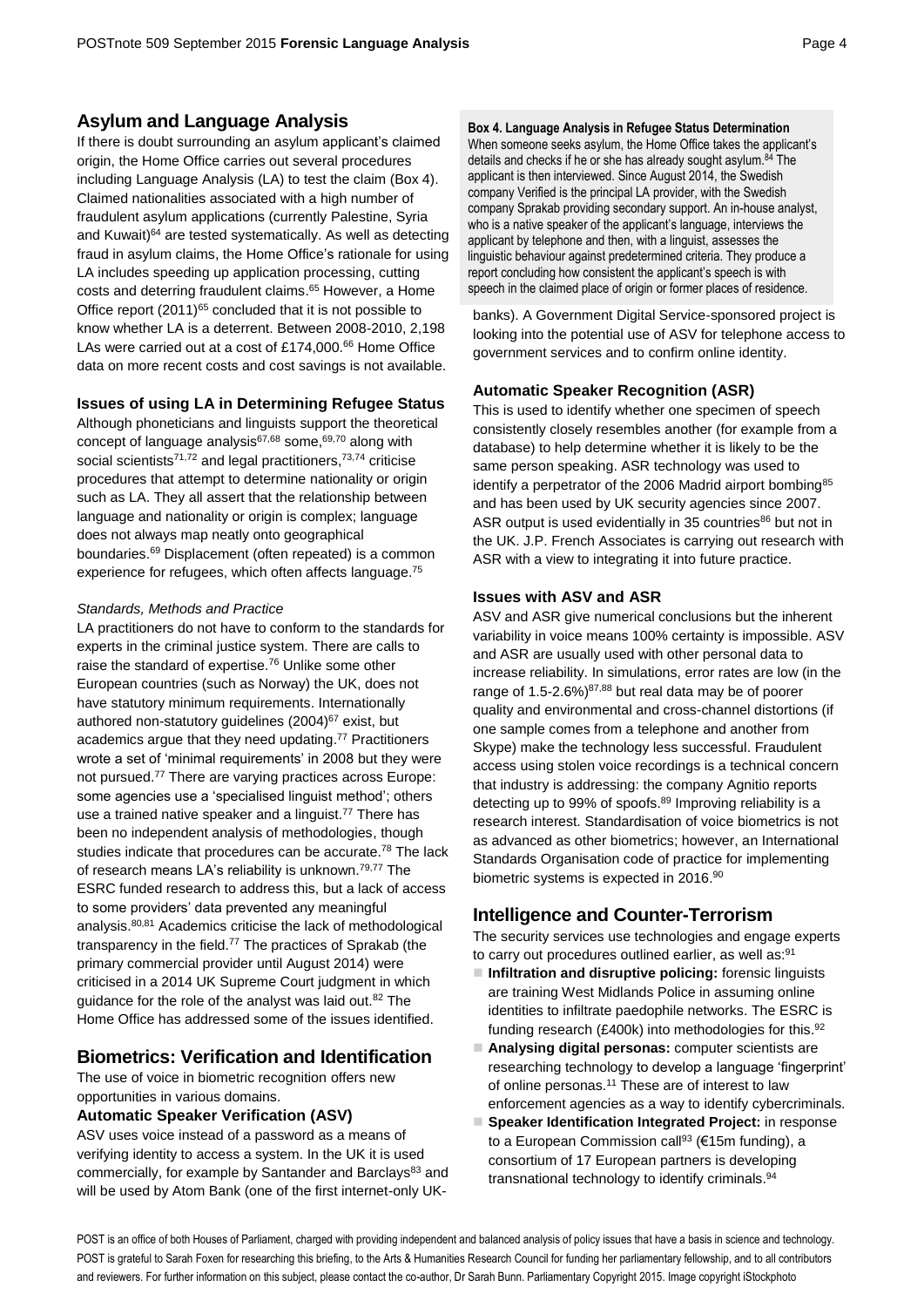## **Asylum and Language Analysis**

If there is doubt surrounding an asylum applicant's claimed origin, the Home Office carries out several procedures including Language Analysis (LA) to test the claim (Box 4). Claimed nationalities associated with a high number of fraudulent asylum applications (currently Palestine, Syria and Kuwait)<sup>64</sup> are tested systematically. As well as detecting fraud in asylum claims, the Home Office's rationale for using LA includes speeding up application processing, cutting costs and deterring fraudulent claims. <sup>65</sup> However, a Home Office report (2011)<sup>[65](#page-3-0)</sup> concluded that it is not possible to know whether LA is a deterrent. Between 2008-2010, 2,198 LAs were carried out at a cost of £174,000.<sup>66</sup> Home Office data on more recent costs and cost savings is not available.

## **Issues of using LA in Determining Refugee Status**

<span id="page-3-2"></span>Although phoneticians and linguists support the theoretical concept of language analysis<sup>67,68</sup> some,<sup>69,70</sup> along with social scientists<sup>71,72</sup> and legal practitioners,<sup>73,74</sup> criticise procedures that attempt to determine nationality or origin such as LA. They all assert that the relationship between language and nationality or origin is complex; language does not always map neatly onto geographical boundaries. [69](#page-3-1) Displacement (often repeated) is a common experience for refugees, which often affects language.<sup>75</sup>

#### *Standards, Methods and Practice*

LA practitioners do not have to conform to the standards for experts in the criminal justice system. There are calls to raise the standard of expertise.<sup>76</sup> Unlike some other European countries (such as Norway) the UK, does not have statutory minimum requirements. Internationally authored non-statutory guidelines (2004)<sup>[67](#page-3-2)</sup> exist, but academics argue that they need updating. <sup>77</sup> Practitioners wrote a set of 'minimal requirements' in 2008 but they were not pursued.[77](#page-3-3) There are varying practices across Europe: some agencies use a 'specialised linguist method'; others use a trained native speaker and a linguist. [77](#page-3-3) There has been no independent analysis of methodologies, though studies indicate that procedures can be accurate.<sup>78</sup> The lack of research means LA's reliability is unknown.<sup>7[9,77](#page-3-3)</sup> The ESRC funded research to address this, but a lack of access to some providers' data prevented any meaningful analysis.80,81 Academics criticise the lack of methodological transparency in the field.<sup>[77](#page-3-3)</sup> The practices of Sprakab (the primary commercial provider until August 2014) were criticised in a 2014 UK Supreme Court judgment in which guidance for the role of the analyst was laid out.<sup>82</sup> The Home Office has addressed some of the issues identified.

## **Biometrics: Verification and Identification**

The use of voice in biometric recognition offers new opportunities in various domains.

#### **Automatic Speaker Verification (ASV)**

ASV uses voice instead of a password as a means of verifying identity to access a system. In the UK it is used commercially, for example by Santander and Barclays<sup>83</sup> and will be used by Atom Bank (one of the first internet-only UK-

**Box 4. Language Analysis in Refugee Status Determination** When someone seeks asylum, the Home Office takes the applicant's details and checks if he or she has already sought asylum.<sup>84</sup> The applicant is then interviewed. Since August 2014, the Swedish company Verified is the principal LA provider, with the Swedish company Sprakab providing secondary support. An in-house analyst, who is a native speaker of the applicant's language, interviews the applicant by telephone and then, with a linguist, assesses the linguistic behaviour against predetermined criteria. They produce a report concluding how consistent the applicant's speech is with speech in the claimed place of origin or former places of residence.

<span id="page-3-0"></span>banks). A Government Digital Service-sponsored project is looking into the potential use of ASV for telephone access to government services and to confirm online identity.

## **Automatic Speaker Recognition (ASR)**

<span id="page-3-1"></span>This is used to identify whether one specimen of speech consistently closely resembles another (for example from a database) to help determine whether it is likely to be the same person speaking. ASR technology was used to identify a perpetrator of the 2006 Madrid airport bombing<sup>85</sup> and has been used by UK security agencies since 2007. ASR output is used evidentially in 35 countries<sup>86</sup> but not in the UK. J.P. French Associates is carrying out research with ASR with a view to integrating it into future practice.

### **Issues with ASV and ASR**

<span id="page-3-3"></span>ASV and ASR give numerical conclusions but the inherent variability in voice means 100% certainty is impossible. ASV and ASR are usually used with other personal data to increase reliability. In simulations, error rates are low (in the range of  $1.5 - 2.6\%$ )<sup>87,88</sup> but real data may be of poorer quality and environmental and cross-channel distortions (if one sample comes from a telephone and another from Skype) make the technology less successful. Fraudulent access using stolen voice recordings is a technical concern that industry is addressing: the company Agnitio reports detecting up to 99% of spoofs.<sup>89</sup> Improving reliability is a research interest. Standardisation of voice biometrics is not as advanced as other biometrics; however, an International Standards Organisation code of practice for implementing biometric systems is expected in 2016.<sup>90</sup>

## **Intelligence and Counter-Terrorism**

The security services use technologies and engage experts to carry out procedures outlined earlier, as well as:<sup>91</sup>

- **Infiltration and disruptive policing:** forensic linguists are training West Midlands Police in assuming online identities to infiltrate paedophile networks. The ESRC is funding research (£400k) into methodologies for this.<sup>92</sup>
- **Analysing digital personas:** computer scientists are researching technology to develop a language 'fingerprint' of online personas. [11](#page-1-2) These are of interest to law enforcement agencies as a way to identify cybercriminals.
- **Speaker Identification Integrated Project:** in response to a European Commission call<sup>93</sup> ( $€15m$  funding), a consortium of 17 European partners is developing transnational technology to identify criminals.<sup>94</sup>

POST is an office of both Houses of Parliament, charged with providing independent and balanced analysis of policy issues that have a basis in science and technology. POST is grateful to Sarah Foxen for researching this briefing, to the Arts & Humanities Research Council for funding her parliamentary fellowship, and to all contributors and reviewers. For further information on this subject, please contact the co-author, Dr Sarah Bunn. Parliamentary Copyright 2015. Image copyright iStockphoto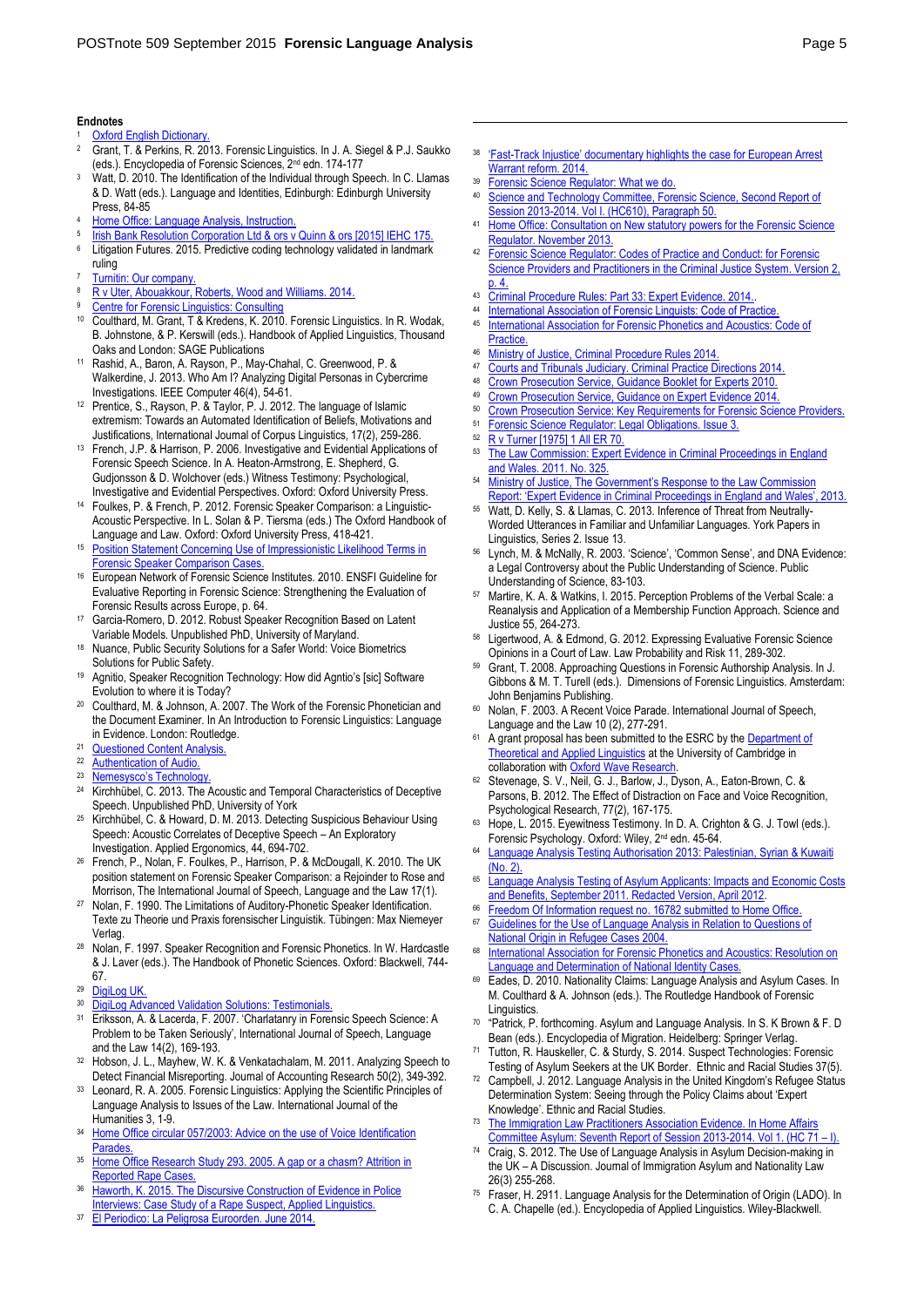#### **Endnotes**

- **[Oxford English Dictionary.](http://www.oed.com/view/Entry/327343?redirectedFrom=linguistics)**
- <sup>2</sup> Grant, T. & Perkins, R. 2013. Forensic Linguistics. In J. A. Siegel & P.J. Saukko (eds.). Encyclopedia of Forensic Sciences, 2nd edn. 174-177
- <sup>3</sup> Watt, D. 2010. The Identification of the Individual through Speech. In C. Llamas & D. Watt (eds.). Language and Identities, Edinburgh: Edinburgh University Press, 84-85
- <sup>4</sup> [Home Office: Language Analysis, Instruction.](https://www.gov.uk/government/uploads/system/uploads/attachment_data/file/432357/Language_Analysis_AI_Public_v19.pdf)
- 5 Irish Bank Resolution Corporation Ltd & ors v Quinn & ors [2015] IEHC 175
- <sup>6</sup> Litigation Futures. 2015. Predictive coding technology validated in landmark ruling
- $\frac{7}{8}$  [Turnitin: Our company.](http://turnitin.com/en_us/about-us/our-company)
- <sup>8</sup> [R v Uter, Abouakkour, Roberts, Wood and Williams. 2014.](http://www.jpfrench.com/r-v-uter-abouakkour-roberts-wood-and-williams/)
- [Centre for Forensic Linguistics: Consulting](http://www.forensiclinguistics.net/consult.html)
- <sup>10</sup> Coulthard, M. Grant, T & Kredens, K. 2010. Forensic Linguistics. In R. Wodak, B. Johnstone, & P. Kerswill (eds.). Handbook of Applied Linguistics, Thousand Oaks and London: SAGE Publications
- Rashid, A., Baron, A. Rayson, P., May-Chahal, C. Greenwood, P. & Walkerdine, J. 2013. Who Am I? Analyzing Digital Personas in Cybercrime Investigations. IEEE Computer 46(4), 54-61.
- <sup>12</sup> Prentice, S., Rayson, P. & Taylor, P. J. 2012. The language of Islamic extremism: Towards an Automated Identification of Beliefs, Motivations and Justifications, International Journal of Corpus Linguistics, 17(2), 259-286.
- <sup>13</sup> French, J.P. & Harrison, P. 2006. Investigative and Evidential Applications of Forensic Speech Science. In A. Heaton-Armstrong, E. Shepherd, G. Gudjonsson & D. Wolchover (eds.) Witness Testimony: Psychological, Investigative and Evidential Perspectives. Oxford: Oxford University Press.
- Foulkes, P. & French, P. 2012. Forensic Speaker Comparison: a Linguistic-Acoustic Perspective. In L. Solan & P. Tiersma (eds.) The Oxford Handbook of Language and Law. Oxford: Oxford University Press, 418-421.
- <sup>15</sup> [Position Statement Concerning Use of Impressionistic Likelihood Terms in](http://www.forensic-speech-science.info/position.html)  [Forensic Speaker Comparison Cases.](http://www.forensic-speech-science.info/position.html)
- <sup>16</sup> European Network of Forensic Science Institutes. 2010. ENSFI Guideline for Evaluative Reporting in Forensic Science: Strengthening the Evaluation of Forensic Results across Europe, p. 64.
- Garcia-Romero, D. 2012. Robust Speaker Recognition Based on Latent Variable Models. Unpublished PhD, University of Maryland.
- <sup>18</sup> Nuance, Public Security Solutions for a Safer World: Voice Biometrics Solutions for Public Safety.
- Agnitio, Speaker Recognition Technology: How did Agntio's [sic] Software Evolution to where it is Today?
- Coulthard, M. & Johnson, A. 2007. The Work of the Forensic Phonetician and the Document Examiner. In An Introduction to Forensic Linguistics: Language in Evidence. London: Routledge.
- <sup>21</sup> [Questioned Content Analysis.](http://www.jpfrench.com/services/questioned-content-analysis/)
- <sup>22</sup> [Authentication of Audio.](http://www.jpfrench.com/services/authentication/)<br><sup>23</sup> Nemesysco's Technolog
- $\frac{23}{N$  **Nemesysco's Technology**<br>24 Kirchbühel C 2013 The
- Kirchhübel, C. 2013. The Acoustic and Temporal Characteristics of Deceptive Speech. Unpublished PhD, University of York
- <sup>25</sup> Kirchhübel, C. & Howard, D. M. 2013. Detecting Suspicious Behaviour Using Speech: Acoustic Correlates of Deceptive Speech – An Exploratory Investigation. Applied Ergonomics, 44, 694-702.
- <sup>26</sup> French, P., Nolan, F. Foulkes, P., Harrison, P. & McDougall, K. 2010. The UK position statement on Forensic Speaker Comparison: a Rejoinder to Rose and Morrison, The International Journal of Speech, Language and the Law 17(1).
- <sup>27</sup> Nolan, F. 1990. The Limitations of Auditory-Phonetic Speaker Identification. Texte zu Theorie und Praxis forensischer Linguistik. Tübingen: Max Niemeyer Verlac
- <sup>28</sup> Nolan, F. 1997. Speaker Recognition and Forensic Phonetics. In W. Hardcastle & J. Laver (eds.). The Handbook of Phonetic Sciences. Oxford: Blackwell, 744- 67.
- <sup>29</sup> DigiLog UK
- 30 DigiLog Advanced Validation Solutions: Testimonials
- <sup>31</sup> Eriksson, A. & Lacerda, F. 2007. 'Charlatanry in Forensic Speech Science: A Problem to be Taken Seriously', International Journal of Speech, Language and the Law 14(2), 169-193.
- <sup>32</sup> Hobson, J. L., Mayhew, W. K. & Venkatachalam, M. 2011. Analyzing Speech to Detect Financial Misreporting. Journal of Accounting Research 50(2), 349-392.
- Leonard, R. A. 2005. Forensic Linguistics: Applying the Scientific Principles of Language Analysis to Issues of the Law. International Journal of the Humanities 3, 1-9.
- <sup>34</sup> Home Office circular 057/2003: Advice on the use of Voice Identification **Parades**
- <sup>35</sup> Home Office Research Study 293. 2005. A gap or a chasm? Attrition in [Reported Rape Cases.](http://webarchive.nationalarchives.gov.uk/20110218135832/rds.homeoffice.gov.uk/rds/pdfs05/hors293.pdf)
- 36 Haworth, K. 2015. The Discursive Construction of Evidence in Police [Interviews: Case Study of a Rape Suspect, Applied Linguistics.](http://applij.oxfordjournals.org/content/early/2015/04/27/applin.amv009.short?rss=1)
- <sup>37</sup> [El Periodico: La Peligrosa Euroorden.](http://www.elperiodico.com/es/noticias/sociedad/peligrosa-euroorden-3289575) June 2014.
- <sup>38</sup> 'Fast-[Track Injustice' documentary highlights the case for European Arrest](http://www.fairtrials.org/press/fast-track-injustice-documentary-highlights-the-case-for-european-arrest-warrant-reform/)  [Warrant reform. 2014.](http://www.fairtrials.org/press/fast-track-injustice-documentary-highlights-the-case-for-european-arrest-warrant-reform/)
- <sup>39</sup> Forensic Science Regulator: What we do.<br><sup>40</sup> Science and Technology Committee For

 $\overline{a}$ 

- Science and Technology Committee, Forensic Science, Second Report of [Session 2013-2014. Vol I. \(HC610\), Paragraph 50.](http://www.publications.parliament.uk/pa/cm201314/cmselect/cmsctech/610/610.pdf)
- 41 Home Office: Consultation on New statutory powers for the Forensic Science [Regulator. November 2013.](https://www.gov.uk/government/uploads/system/uploads/attachment_data/file/256614/New_statutory_powers_for_the_forensic_science_regulator.pdf)
- $42$  [Forensic Science Regulator: Codes of Practice and Conduct: for Forensic](https://www.gov.uk/government/publications/forensic-science-providers-codes-of-practice-and-conduct-2014)  Science Providers and Practitioners in the Criminal Justice System. Version 2  $p.4$ .
- 43 Criminal Procedure Rules: Part 33: Expert Evidence. 2014.
- <sup>44</sup> [International Association of Forensic Linguists: Code of Practice.](http://www.iafl.org/uploads/IAFL_Code_of_Practice_1.pdf)
- International Association for Forensic Phonetics and Acoustics: Code of [Practice.](http://www.iafpa.net/code.htm)
- 46 [Ministry of Justice, Criminal Procedure Rules 2014.](http://www.legislation.gov.uk/uksi/2014/1610/contents/made)<br>47 Courts and Tribunals, Judiciany Criminal Practice D
- 47 [Courts and Tribunals Judiciary. Criminal Practice Directions 2014.](https://www.judiciary.gov.uk/publications/criminal-practice-directions-amendment-no-2/)<br>48 Crown Prosecution Sensice, Guidance Booklet for Experts 2010
- 48 [Crown Prosecution Service, Guidance Booklet for Experts 2010.](http://www.cps.gov.uk/legal/assets/uploads/files/Guidance_for_Experts_-_2010_edition.pdf)
- 49 [Crown Prosecution Service, Guidance on Expert Evidence 2014.](http://www.cps.gov.uk/legal/assets/uploads/files/expert_evidence_first_edition_2014.pdf)
- <sup>50</sup> [Crown Prosecution Service: Key Requirements for Forensic Science Providers.](http://www.cps.gov.uk/legal/s_to_u/scientific_evidence/core_foundation_principles_for_forensic_science_providers/index.html#a04)
- <sup>51</sup> Forensic Science Regulator: Legal Obligations. Issue  $3.$ <br><sup>52</sup> P v Turner [1975] 1 All ER 70
- $52$  [R v Turner \[1975\] 1 All ER 70.](http://netk.net.au/UK/Turner.asp)
- The Law Commission: Expert Evidence in Criminal Proceedings in England [and Wales. 2011. No. 325.](http://www.lawcom.gov.uk/wp-content/uploads/2015/03/lc325_Expert_Evidence_Report.pdf)
- 54 Ministry of Justice, The Government's Response to the Law Commission [Report: 'Expert Evidence in Criminal Proceedings in England and Wales', 2013.](https://www.gov.uk/government/uploads/system/uploads/attachment_data/file/260369/govt-resp-experts-evidence.pdf)
- Watt, D. Kelly, S. & Llamas, C. 2013. Inference of Threat from Neutrally-Worded Utterances in Familiar and Unfamiliar Languages. York Papers in Linguistics, Series 2. Issue 13.
- Lynch, M. & McNally, R. 2003. 'Science', 'Common Sense', and DNA Evidence: a Legal Controversy about the Public Understanding of Science. Public Understanding of Science, 83-103.
- <sup>57</sup> Martire, K. A. & Watkins, I. 2015. Perception Problems of the Verbal Scale: a Reanalysis and Application of a Membership Function Approach. Science and Justice 55, 264-273.
- Ligertwood, A. & Edmond, G. 2012. Expressing Evaluative Forensic Science Opinions in a Court of Law. Law Probability and Risk 11, 289-302.
- <sup>59</sup> Grant, T. 2008. Approaching Questions in Forensic Authorship Analysis. In J. Gibbons & M. T. Turell (eds.). Dimensions of Forensic Linguistics. Amsterdam: John Benjamins Publishing.
- <sup>60</sup> Nolan, F. 2003. A Recent Voice Parade. International Journal of Speech, Language and the Law 10 (2), 277-291.
- A grant proposal has been submitted to the ESRC by the Department of [Theoretical and Applied Linguistics](http://www.mml.cam.ac.uk/dtal/research/research-projects) at the University of Cambridge in collaboration with Oxford Wave Research
- Stevenage, S. V., Neil, G. J., Barlow, J., Dyson, A., Eaton-Brown, C. & Parsons, B. 2012. The Effect of Distraction on Face and Voice Recognition, Psychological Research, 77(2), 167-175.
- <sup>63</sup> Hope, L. 2015. Eyewitness Testimony. In D. A. Crighton & G. J. Towl (eds.). Forensic Psychology. Oxford: Wiley, 2nd edn. 45-64.
- <sup>64</sup> [Language Analysis Testing Authorisation 2013: Palestinian, Syrian & Kuwaiti](https://www.gov.uk/government/speeches/language-analysis-testing-authorisation-2013-palestinian-syrian-kuwaiti-no-2)  [\(No. 2\).](https://www.gov.uk/government/speeches/language-analysis-testing-authorisation-2013-palestinian-syrian-kuwaiti-no-2)
- 65 Language Analysis Testing of Asylum Applicants: Impacts and Economic Costs [and Benefits, September 2011. Redacted Version, April 2012.](https://www.gov.uk/government/uploads/system/uploads/attachment_data/file/257177/language-analysis.pdf)
- <sup>66</sup> [Freedom Of Information request no. 16782 submitted to Home Office.](https://www.whatdotheyknow.com/request/language_analysis_for_asylum_see)<br><sup>67</sup> Guidelines for the Use of Language Analysis in Relation to Questions
- Guidelines for the Use of Language Analysis in Relation to Questions of [National Origin in Refugee Cases 2004.](http://www.upf.edu/upfsolidaria/_pdf/Guidelines_for_the_Use_of_Language_Analysis.pdf)
- 68 International Association for Forensic Phonetics and Acoustics: Resolution on [Language and Determination of National Identity Cases.](http://www.iafpa.net/langidres.htm)
- Eades, D. 2010. Nationality Claims: Language Analysis and Asylum Cases. In M. Coulthard & A. Johnson (eds.). The Routledge Handbook of Forensic **Linguistics**
- 70 "Patrick, P. forthcoming. Asylum and Language Analysis. In S. K Brown & F. D Bean (eds.). Encyclopedia of Migration. Heidelberg: Springer Verlag.
- Tutton, R. Hauskeller, C. & Sturdy, S. 2014. Suspect Technologies: Forensic Testing of Asylum Seekers at the UK Border. Ethnic and Racial Studies 37(5).
- <sup>72</sup> Campbell, J. 2012. Language Analysis in the United Kingdom's Refugee Status Determination System: Seeing through the Policy Claims about 'Expert Knowledge'. Ethnic and Racial Studies.
- The Immigration Law Practitioners Association Evidence. In Home Affair [Committee Asylum: Seventh Report of Session 2013-2014. Vol 1. \(HC 71](http://www.publications.parliament.uk/pa/cm201314/cmselect/cmhaff/71/71.pdf) – I).
- <sup>74</sup> Craig, S. 2012. The Use of Language Analysis in Asylum Decision-making in the UK – A Discussion. Journal of Immigration Asylum and Nationality Law 26(3) 255-268.
- Fraser, H. 2911. Language Analysis for the Determination of Origin (LADO). In C. A. Chapelle (ed.). Encyclopedia of Applied Linguistics. Wiley-Blackwell.